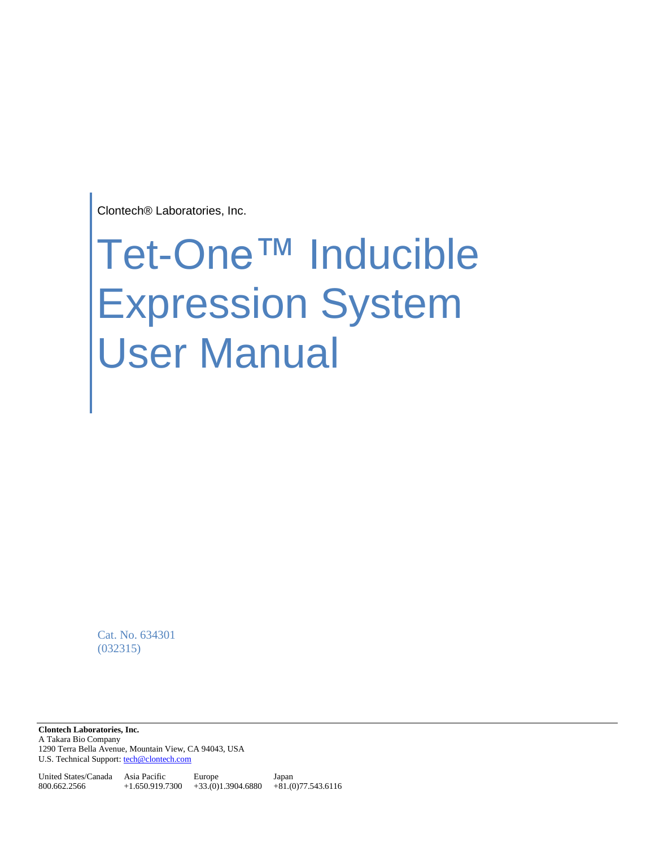Clontech® Laboratories, Inc.

# Tet-One™ Inducible Expression System User Manual

Cat. No. 634301 (032315)

**Clontech Laboratories, Inc.**  A Takara Bio Company 1290 Terra Bella Avenue, Mountain View, CA 94043, USA U.S. Technical Support[: tech@clontech.com](mailto:tech@clontech.com)

United States/Canada Asia Pacific 800.662.2566 +1.650.919.7300 +33.(0)1.3904.6880 +81.(0)77.543.6116 Europe Japan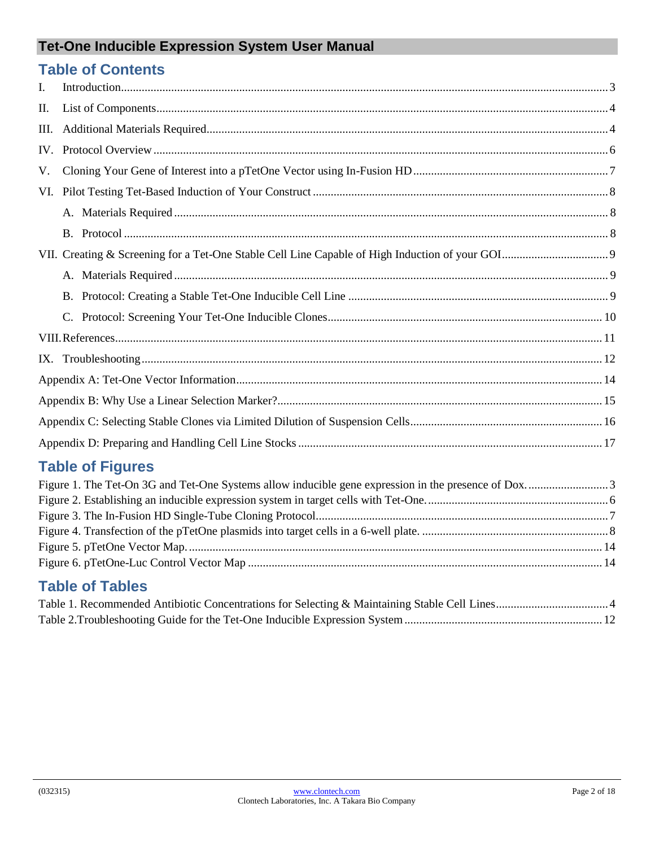# **Table of Contents**

| Ι.   | $\text{Introduction} \text{.\ } \dots \text{.\ } \dots \text{.\ } \dots \text{.\ } \dots \text{.\ } \dots \text{.\ } \dots \text{.\ } \dots \text{.\ } \dots \text{.\ } \dots \text{.\ } \dots \text{.\ } \dots \text{.\ } \dots \text{.\ } \dots \text{.\ } \dots \text{.\ } \dots \text{.\ } \dots \text{.\ } \dots \text{.\ } \dots \text{.\ } \dots \text{.\ } \dots \text{.\ } \dots \text{.\ } \dots \text{.\ } \dots \text{.\ } \dots \text{.\ } \dots \text{.\ } \dots \text{.\ } \dots \text{.\ } \dots \text{.\ } \dots \text{.\ } \dots \text{.\ }$ |  |  |
|------|----------------------------------------------------------------------------------------------------------------------------------------------------------------------------------------------------------------------------------------------------------------------------------------------------------------------------------------------------------------------------------------------------------------------------------------------------------------------------------------------------------------------------------------------------------------|--|--|
| П.   |                                                                                                                                                                                                                                                                                                                                                                                                                                                                                                                                                                |  |  |
| III. |                                                                                                                                                                                                                                                                                                                                                                                                                                                                                                                                                                |  |  |
| IV.  |                                                                                                                                                                                                                                                                                                                                                                                                                                                                                                                                                                |  |  |
| V.   |                                                                                                                                                                                                                                                                                                                                                                                                                                                                                                                                                                |  |  |
|      |                                                                                                                                                                                                                                                                                                                                                                                                                                                                                                                                                                |  |  |
|      |                                                                                                                                                                                                                                                                                                                                                                                                                                                                                                                                                                |  |  |
|      |                                                                                                                                                                                                                                                                                                                                                                                                                                                                                                                                                                |  |  |
|      |                                                                                                                                                                                                                                                                                                                                                                                                                                                                                                                                                                |  |  |
|      |                                                                                                                                                                                                                                                                                                                                                                                                                                                                                                                                                                |  |  |
|      |                                                                                                                                                                                                                                                                                                                                                                                                                                                                                                                                                                |  |  |
|      |                                                                                                                                                                                                                                                                                                                                                                                                                                                                                                                                                                |  |  |
|      |                                                                                                                                                                                                                                                                                                                                                                                                                                                                                                                                                                |  |  |
|      |                                                                                                                                                                                                                                                                                                                                                                                                                                                                                                                                                                |  |  |
|      |                                                                                                                                                                                                                                                                                                                                                                                                                                                                                                                                                                |  |  |
|      |                                                                                                                                                                                                                                                                                                                                                                                                                                                                                                                                                                |  |  |
|      |                                                                                                                                                                                                                                                                                                                                                                                                                                                                                                                                                                |  |  |
|      |                                                                                                                                                                                                                                                                                                                                                                                                                                                                                                                                                                |  |  |

# **Table of Figures**

# **Table of Tables**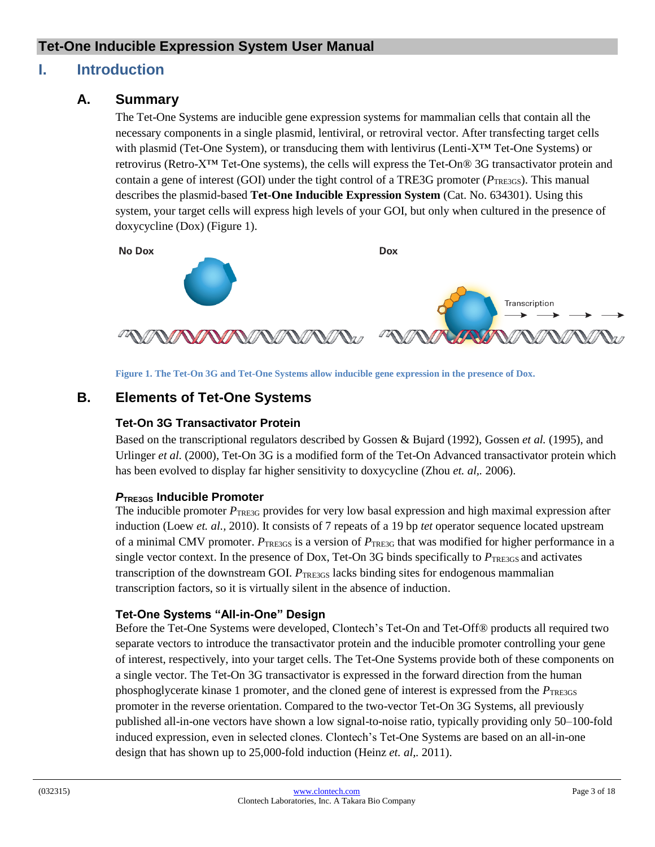# <span id="page-2-0"></span>**I. Introduction**

# **A. Summary**

The Tet-One Systems are inducible gene expression systems for mammalian cells that contain all the necessary components in a single plasmid, lentiviral, or retroviral vector. After transfecting target cells with plasmid (Tet-One System), or transducing them with lentivirus (Lenti-X™ Tet-One Systems) or retrovirus (Retro-X™ Tet-One systems), the cells will express the Tet-On® 3G transactivator protein and contain a gene of interest (GOI) under the tight control of a TRE3G promoter ( $P_{\text{TE3GS}}$ ). This manual describes the plasmid-based **Tet-One Inducible Expression System** (Cat. No. 634301). Using this system, your target cells will express high levels of your GOI, but only when cultured in the presence of doxycycline (Dox) (Figure 1).

**No Dox** 

**Dox** 



**Figure 1. The Tet-On 3G and Tet-One Systems allow inducible gene expression in the presence of Dox.**

# <span id="page-2-1"></span>**B. Elements of Tet-One Systems**

#### **Tet-On 3G Transactivator Protein**

Based on the transcriptional regulators described by Gossen & Bujard (1992), Gossen *et al.* (1995), and Urlinger *et al.* (2000), Tet-On 3G is a modified form of the Tet-On Advanced transactivator protein which has been evolved to display far higher sensitivity to doxycycline (Zhou *et. al,.* 2006).

#### *P***TRE3GS Inducible Promoter**

The inducible promoter  $P_{\text{TRE3G}}$  provides for very low basal expression and high maximal expression after induction (Loew *et. al.,* 2010). It consists of 7 repeats of a 19 bp *tet* operator sequence located upstream of a minimal CMV promoter. *P*TRE3GS is a version of *P*TRE3G that was modified for higher performance in a single vector context. In the presence of Dox, Tet-On 3G binds specifically to  $P_{\text{TE3GS}}$  and activates transcription of the downstream GOI. *P*<sub>TRE3GS</sub> lacks binding sites for endogenous mammalian transcription factors, so it is virtually silent in the absence of induction.

#### **Tet-One Systems "All-in-One" Design**

Before the Tet-One Systems were developed, Clontech's Tet-On and Tet-Off® products all required two separate vectors to introduce the transactivator protein and the inducible promoter controlling your gene of interest, respectively, into your target cells. The Tet-One Systems provide both of these components on a single vector. The Tet-On 3G transactivator is expressed in the forward direction from the human phosphoglycerate kinase 1 promoter, and the cloned gene of interest is expressed from the  $P_{\text{TE}3GS}$ promoter in the reverse orientation. Compared to the two-vector Tet-On 3G Systems, all previously published all-in-one vectors have shown a low signal-to-noise ratio, typically providing only 50–100-fold induced expression, even in selected clones. Clontech's Tet-One Systems are based on an all-in-one design that has shown up to 25,000-fold induction (Heinz *et. al*,*.* 2011).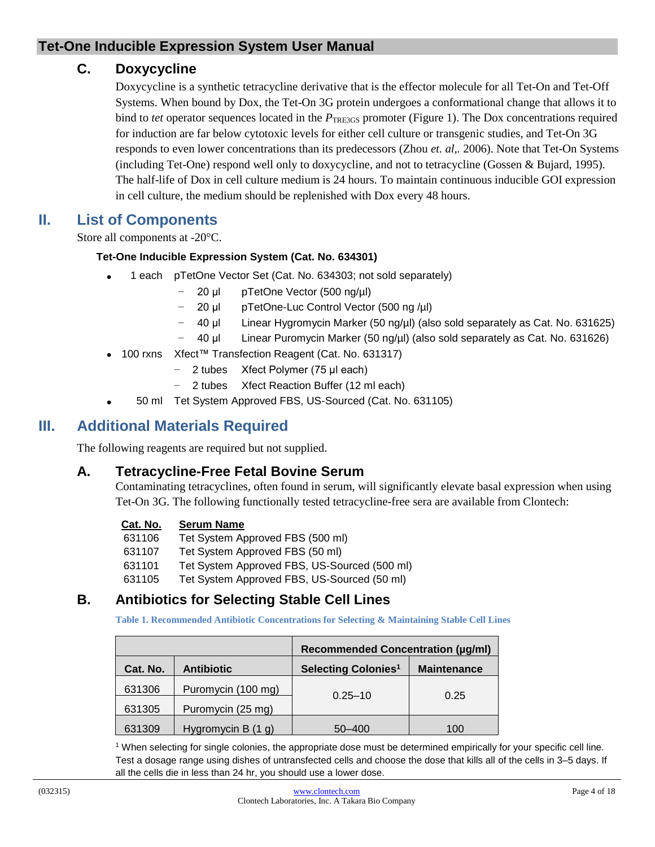## **C. Doxycycline**

Doxycycline is a synthetic tetracycline derivative that is the effector molecule for all Tet-On and Tet-Off Systems. When bound by Dox, the Tet-On 3G protein undergoes a conformational change that allows it to bind to *tet* operator sequences located in the *P*TRE3GS promoter (Figure 1). The Dox concentrations required for induction are far below cytotoxic levels for either cell culture or transgenic studies, and Tet-On 3G responds to even lower concentrations than its predecessors (Zhou *et. al,.* 2006). Note that Tet-On Systems (including Tet-One) respond well only to doxycycline, and not to tetracycline (Gossen & Bujard, 1995). The half-life of Dox in cell culture medium is 24 hours. To maintain continuous inducible GOI expression in cell culture, the medium should be replenished with Dox every 48 hours.

# <span id="page-3-0"></span>**II. List of Components**

Store all components at -20°C.

#### **Tet-One Inducible Expression System (Cat. No. 634301)**

- 1 each pTetOne Vector Set (Cat. No. 634303; not sold separately)
	- − 20 μl pTetOne Vector (500 ng/µl)
	- − 20 μl pTetOne-Luc Control Vector (500 ng /µl)
	- − 40 μl Linear Hygromycin Marker (50 ng/µl) (also sold separately as Cat. No. 631625)
	- − 40 μl Linear Puromycin Marker (50 ng/µl) (also sold separately as Cat. No. 631626)
- 100 rxns Xfect™ Transfection Reagent (Cat. No. 631317)
	- − 2 tubes Xfect Polymer (75 μl each)
	- − 2 tubes Xfect Reaction Buffer (12 ml each)
- 50 ml Tet System Approved FBS, US-Sourced (Cat. No. 631105)

# <span id="page-3-1"></span>**III. Additional Materials Required**

The following reagents are required but not supplied.

#### **A. Tetracycline-Free Fetal Bovine Serum**

Contaminating tetracyclines, often found in serum, will significantly elevate basal expression when using Tet-On 3G. The following functionally tested tetracycline-free sera are available from Clontech:

#### **Cat. No. Serum Name**

- 631106 Tet System Approved FBS (500 ml)
- 631107 Tet System Approved FBS (50 ml)
- 631101 Tet System Approved FBS, US-Sourced (500 ml)
- 631105 Tet System Approved FBS, US-Sourced (50 ml)

# <span id="page-3-2"></span>**B. Antibiotics for Selecting Stable Cell Lines**

**Table 1. Recommended Antibiotic Concentrations for Selecting & Maintaining Stable Cell Lines**

|          |                      | <b>Recommended Concentration (µg/ml)</b> |                    |
|----------|----------------------|------------------------------------------|--------------------|
| Cat. No. | <b>Antibiotic</b>    | Selecting Colonies <sup>1</sup>          | <b>Maintenance</b> |
| 631306   | Puromycin (100 mg)   |                                          |                    |
| 631305   | Puromycin (25 mg)    | $0.25 - 10$<br>0.25                      |                    |
| 631309   | Hygromycin B $(1 g)$ | 50-400                                   | 100                |

<sup>1</sup> When selecting for single colonies, the appropriate dose must be determined empirically for your specific cell line. Test a dosage range using dishes of untransfected cells and choose the dose that kills all of the cells in 3–5 days. If all the cells die in less than 24 hr, you should use a lower dose.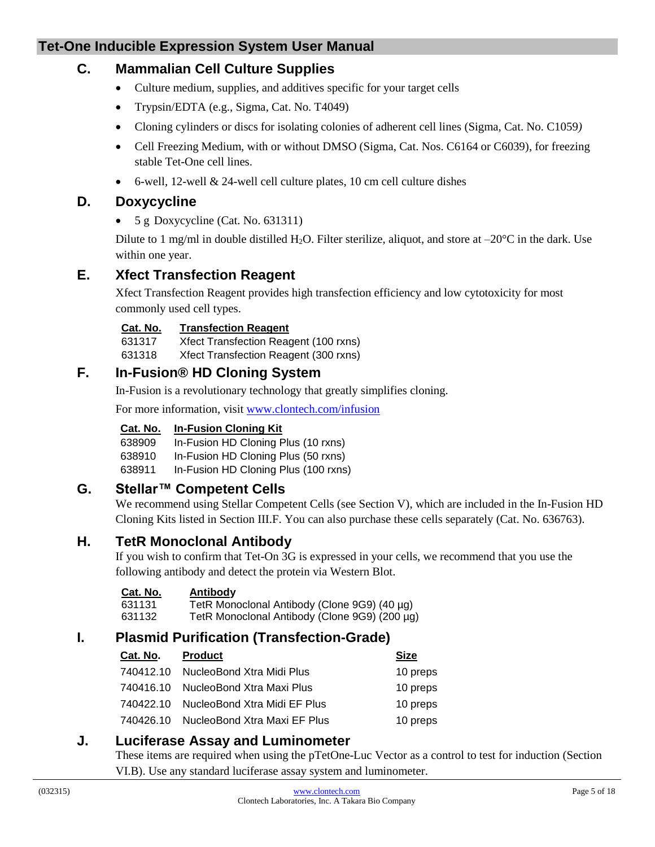# **C. Mammalian Cell Culture Supplies**

- Culture medium, supplies, and additives specific for your target cells
- Trypsin/EDTA (e.g., Sigma, Cat. No. T4049)
- Cloning cylinders or discs for isolating colonies of adherent cell lines (Sigma, Cat. No. C1059*)*
- Cell Freezing Medium, with or without DMSO (Sigma, Cat. Nos. C6164 or C6039), for freezing stable Tet-One cell lines.
- $\bullet$  6-well, 12-well & 24-well cell culture plates, 10 cm cell culture dishes

# **D. Doxycycline**

•  $5 g$  Doxycycline (Cat. No. 631311)

Dilute to 1 mg/ml in double distilled H<sub>2</sub>O. Filter sterilize, aliquot, and store at  $-20^{\circ}$ C in the dark. Use within one year.

# **E. Xfect Transfection Reagent**

Xfect Transfection Reagent provides high transfection efficiency and low cytotoxicity for most commonly used cell types.

#### **Cat. No. Transfection Reagent**

631317 Xfect Transfection Reagent (100 rxns)

631318 Xfect Transfection Reagent (300 rxns)

# **F. In-Fusion® HD Cloning System**

In-Fusion is a revolutionary technology that greatly simplifies cloning.

For more information, visit [www.clontech.com/infusion](http://www.clontech.com/infusion)

#### **Cat. No. In-Fusion Cloning Kit**

- 638909 In-Fusion HD Cloning Plus (10 rxns)
- 638910 In-Fusion HD Cloning Plus (50 rxns)
- 638911 In-Fusion HD Cloning Plus (100 rxns)

# **G. Stellar™ Competent Cells**

We recommend using Stellar Competent Cells (see Section V), which are included in the In-Fusion HD Cloning Kits listed in Section III.F. You can also purchase these cells separately (Cat. No. 636763).

# **H. TetR Monoclonal Antibody**

If you wish to confirm that Tet-On 3G is expressed in your cells, we recommend that you use the following antibody and detect the protein via Western Blot.

| Cat. No. | <u>Antibody</u>                               |
|----------|-----------------------------------------------|
| 631131   | TetR Monoclonal Antibody (Clone 9G9) (40 µg)  |
| 631132   | TetR Monoclonal Antibody (Clone 9G9) (200 µg) |

# **I. Plasmid Purification (Transfection-Grade)**

| Cat. No.  | <b>Product</b>               | <b>Size</b> |
|-----------|------------------------------|-------------|
| 740412.10 | NucleoBond Xtra Midi Plus    | 10 preps    |
| 740416.10 | NucleoBond Xtra Maxi Plus    | 10 preps    |
| 740422.10 | NucleoBond Xtra Midi EF Plus | 10 preps    |
| 740426.10 | NucleoBond Xtra Maxi EF Plus | 10 preps    |

#### **J. Luciferase Assay and Luminometer**

These items are required when using the pTetOne-Luc Vector as a control to test for induction (Section VI.B). Use any standard luciferase assay system and luminometer.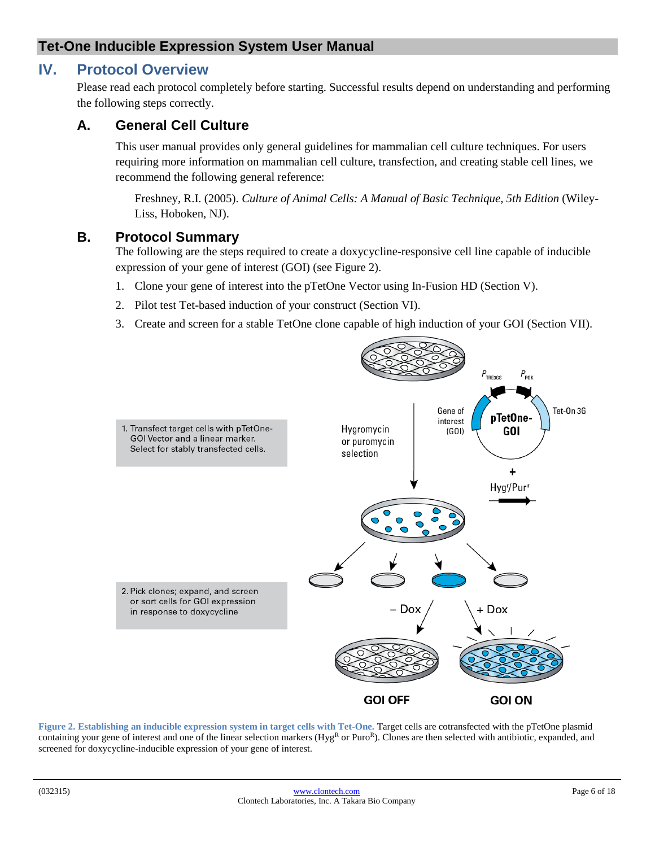# <span id="page-5-0"></span>**IV. Protocol Overview**

Please read each protocol completely before starting. Successful results depend on understanding and performing the following steps correctly.

## **A. General Cell Culture**

This user manual provides only general guidelines for mammalian cell culture techniques. For users requiring more information on mammalian cell culture, transfection, and creating stable cell lines, we recommend the following general reference:

Freshney, R.I. (2005). *Culture of Animal Cells: A Manual of Basic Technique, 5th Edition* (Wiley-Liss, Hoboken, NJ).

#### **B. Protocol Summary**

The following are the steps required to create a doxycycline-responsive cell line capable of inducible expression of your gene of interest (GOI) (see Figure 2).

- 1. Clone your gene of interest into the pTetOne Vector using In-Fusion HD (Section V).
- 2. Pilot test Tet-based induction of your construct (Section VI).
- 3. Create and screen for a stable TetOne clone capable of high induction of your GOI (Section VII).



<span id="page-5-1"></span>**Figure 2. Establishing an inducible expression system in target cells with Tet-One.** Target cells are cotransfected with the pTetOne plasmid containing your gene of interest and one of the linear selection markers ( $Hye<sup>R</sup>$  or  $Puro<sup>R</sup>$ ). Clones are then selected with antibiotic, expanded, and screened for doxycycline-inducible expression of your gene of interest.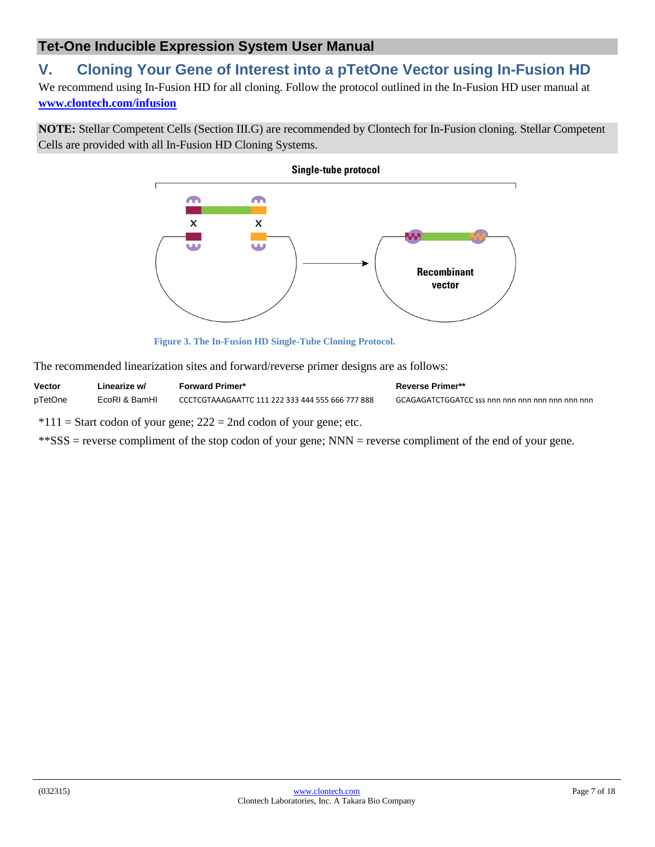# <span id="page-6-0"></span>**V. Cloning Your Gene of Interest into a pTetOne Vector using In-Fusion HD**

We recommend using In-Fusion HD for all cloning. Follow the protocol outlined in the In-Fusion HD user manual at **[www.clontech.com/infusion](http://www.clontech.com/infusion)**

**NOTE:** Stellar Competent Cells (Section III.G) are recommended by Clontech for In-Fusion cloning. Stellar Competent Cells are provided with all In-Fusion HD Cloning Systems.



**Figure 3. The In-Fusion HD Single-Tube Cloning Protocol.**

<span id="page-6-1"></span>The recommended linearization sites and forward/reverse primer designs are as follows:

| <b>Vector</b> | ∟inearize w/  | <b>Forward Primer*</b>                           | <b>Reverse Primer**</b>                              |
|---------------|---------------|--------------------------------------------------|------------------------------------------------------|
| pTetOne       | EcoRI & BamHI | CCCTCGTAAAGAATTC 111 222 333 444 555 666 777 888 | GCAGAGATCTGGATCC sss nnn nnn nnn nnn nnn nnn nnn nnn |

 $*111 =$  Start codon of your gene; 222 = 2nd codon of your gene; etc.

\*\*SSS = reverse compliment of the stop codon of your gene; NNN = reverse compliment of the end of your gene.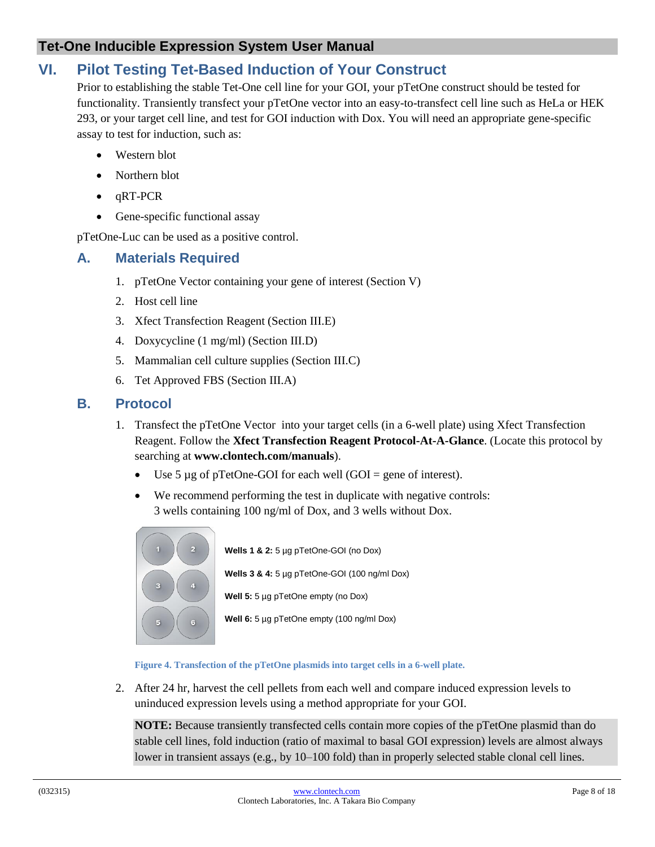# <span id="page-7-0"></span>**VI. Pilot Testing Tet-Based Induction of Your Construct**

Prior to establishing the stable Tet-One cell line for your GOI, your pTetOne construct should be tested for functionality. Transiently transfect your pTetOne vector into an easy-to-transfect cell line such as HeLa or HEK 293, or your target cell line, and test for GOI induction with Dox. You will need an appropriate gene-specific assay to test for induction, such as:

- Western blot
- Northern blot
- $\bullet$   $\alpha$ RT-PCR
- Gene-specific functional assay

pTetOne-Luc can be used as a positive control.

#### <span id="page-7-1"></span>**A. Materials Required**

- 1. pTetOne Vector containing your gene of interest (Section V)
- 2. Host cell line
- 3. Xfect Transfection Reagent (Section III.E)
- 4. Doxycycline (1 mg/ml) (Section III.D)
- 5. Mammalian cell culture supplies (Section III.C)
- 6. Tet Approved FBS (Section III.A)

#### <span id="page-7-2"></span>**B. Protocol**

- 1. Transfect the pTetOne Vector into your target cells (in a 6-well plate) using Xfect Transfection Reagent. Follow the **Xfect Transfection Reagent Protocol-At-A-Glance**. (Locate this protocol by searching at **www.clontech.com/manuals**).
	- Use 5  $\mu$ g of pTetOne-GOI for each well (GOI = gene of interest).
	- We recommend performing the test in duplicate with negative controls: 3 wells containing 100 ng/ml of Dox, and 3 wells without Dox.



**Wells 1 & 2:** 5 µg pTetOne-GOI (no Dox) **Wells 3 & 4:** 5 µg pTetOne-GOI (100 ng/ml Dox) **Well 5:** 5 µg pTetOne empty (no Dox)

**Well 6:** 5 µg pTetOne empty (100 ng/ml Dox)

**Figure 4. Transfection of the pTetOne plasmids into target cells in a 6-well plate.**

<span id="page-7-3"></span>2. After 24 hr, harvest the cell pellets from each well and compare induced expression levels to uninduced expression levels using a method appropriate for your GOI.

**NOTE:** Because transiently transfected cells contain more copies of the pTetOne plasmid than do stable cell lines, fold induction (ratio of maximal to basal GOI expression) levels are almost always lower in transient assays (e.g., by 10–100 fold) than in properly selected stable clonal cell lines.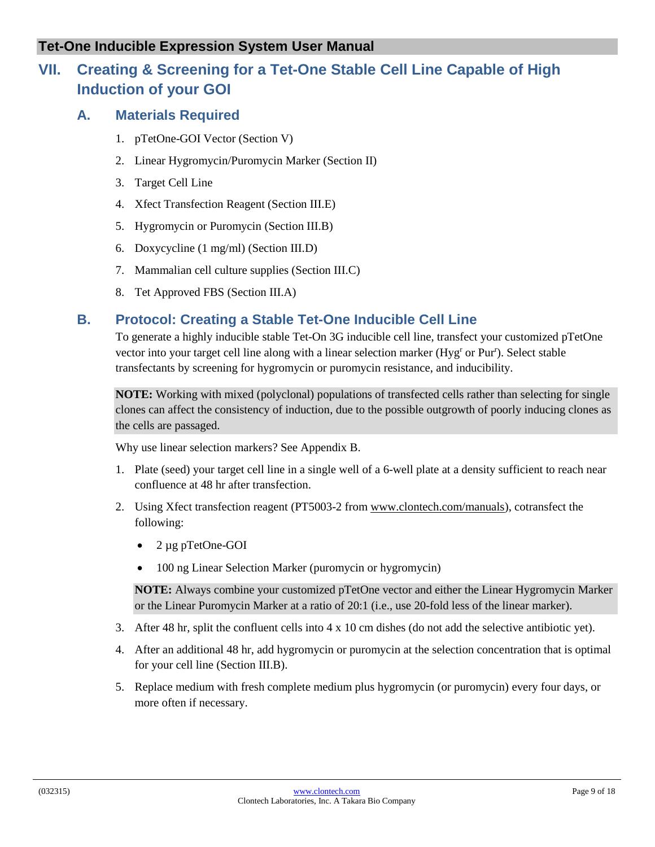# <span id="page-8-1"></span><span id="page-8-0"></span>**VII. Creating & Screening for a Tet-One Stable Cell Line Capable of High Induction of your GOI**

# **A. Materials Required**

- 1. pTetOne-GOI Vector (Section V)
- 2. Linear Hygromycin/Puromycin Marker (Section II)
- 3. Target Cell Line
- 4. Xfect Transfection Reagent (Section III.E)
- 5. Hygromycin or Puromycin (Section III.B)
- 6. Doxycycline (1 mg/ml) (Section III.D)
- 7. Mammalian cell culture supplies (Section III.C)
- 8. Tet Approved FBS (Section III.A)

# <span id="page-8-2"></span>**B. Protocol: Creating a Stable Tet-One Inducible Cell Line**

To generate a highly inducible stable Tet-On 3G inducible cell line, transfect your customized pTetOne vector into your target cell line along with a linear selection marker (Hyg<sup>r</sup> or Pur<sup>r</sup>). Select stable transfectants by screening for hygromycin or puromycin resistance, and inducibility.

**NOTE:** Working with mixed (polyclonal) populations of transfected cells rather than selecting for single clones can affect the consistency of induction, due to the possible outgrowth of poorly inducing clones as the cells are passaged.

Why use linear selection markers? See Appendix B.

- 1. Plate (seed) your target cell line in a single well of a 6-well plate at a density sufficient to reach near confluence at 48 hr after transfection.
- 2. Using Xfect transfection reagent (PT5003-2 from [www.clontech.com/manuals\)](http://www.clontech.com/manuals), cotransfect the following:
	- 2 µg pTetOne-GOI
	- 100 ng Linear Selection Marker (puromycin or hygromycin)

**NOTE:** Always combine your customized pTetOne vector and either the Linear Hygromycin Marker or the Linear Puromycin Marker at a ratio of 20:1 (i.e., use 20-fold less of the linear marker).

- 3. After 48 hr, split the confluent cells into 4 x 10 cm dishes (do not add the selective antibiotic yet).
- 4. After an additional 48 hr, add hygromycin or puromycin at the selection concentration that is optimal for your cell line (Section III.B).
- 5. Replace medium with fresh complete medium plus hygromycin (or puromycin) every four days, or more often if necessary.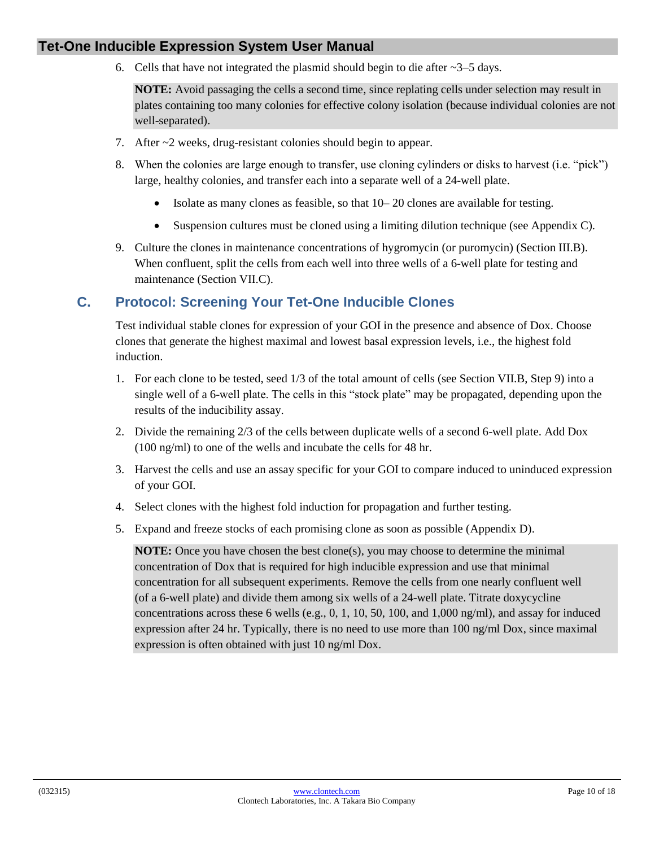6. Cells that have not integrated the plasmid should begin to die after  $\sim$ 3–5 days.

**NOTE:** Avoid passaging the cells a second time, since replating cells under selection may result in plates containing too many colonies for effective colony isolation (because individual colonies are not well-separated).

- 7. After ~2 weeks, drug-resistant colonies should begin to appear.
- 8. When the colonies are large enough to transfer, use cloning cylinders or disks to harvest (i.e. "pick") large, healthy colonies, and transfer each into a separate well of a 24-well plate.
	- Isolate as many clones as feasible, so that 10– 20 clones are available for testing.
	- Suspension cultures must be cloned using a limiting dilution technique (see Appendix C).
- 9. Culture the clones in maintenance concentrations of hygromycin (or puromycin) (Section III.B). When confluent, split the cells from each well into three wells of a 6-well plate for testing and maintenance (Section VII.C).

## <span id="page-9-0"></span>**C. Protocol: Screening Your Tet-One Inducible Clones**

Test individual stable clones for expression of your GOI in the presence and absence of Dox. Choose clones that generate the highest maximal and lowest basal expression levels, i.e., the highest fold induction.

- 1. For each clone to be tested, seed 1/3 of the total amount of cells (see Section VII.B, Step 9) into a single well of a 6-well plate. The cells in this "stock plate" may be propagated, depending upon the results of the inducibility assay.
- 2. Divide the remaining 2/3 of the cells between duplicate wells of a second 6-well plate. Add Dox (100 ng/ml) to one of the wells and incubate the cells for 48 hr.
- 3. Harvest the cells and use an assay specific for your GOI to compare induced to uninduced expression of your GOI.
- 4. Select clones with the highest fold induction for propagation and further testing.
- 5. Expand and freeze stocks of each promising clone as soon as possible (Appendix D).

**NOTE:** Once you have chosen the best clone(s), you may choose to determine the minimal concentration of Dox that is required for high inducible expression and use that minimal concentration for all subsequent experiments. Remove the cells from one nearly confluent well (of a 6-well plate) and divide them among six wells of a 24-well plate. Titrate doxycycline concentrations across these 6 wells (e.g., 0, 1, 10, 50, 100, and 1,000 ng/ml), and assay for induced expression after 24 hr. Typically, there is no need to use more than 100 ng/ml Dox, since maximal expression is often obtained with just 10 ng/ml Dox.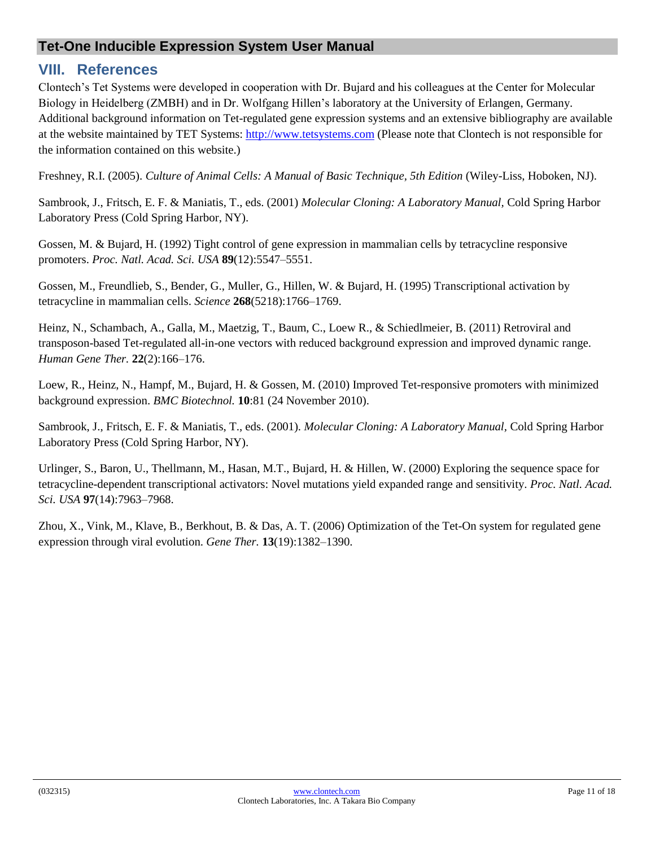# <span id="page-10-0"></span>**VIII. References**

Clontech's Tet Systems were developed in cooperation with Dr. Bujard and his colleagues at the Center for Molecular Biology in Heidelberg (ZMBH) and in Dr. Wolfgang Hillen's laboratory at the University of Erlangen, Germany. Additional background information on Tet-regulated gene expression systems and an extensive bibliography are available at the website maintained by TET Systems: [http://www.tetsystems.com](http://www.tetsystems.com/) (Please note that Clontech is not responsible for the information contained on this website.)

Freshney, R.I. (2005). *Culture of Animal Cells: A Manual of Basic Technique, 5th Edition* (Wiley-Liss, Hoboken, NJ).

Sambrook, J., Fritsch, E. F. & Maniatis, T., eds. (2001) *Molecular Cloning: A Laboratory Manual,* Cold Spring Harbor Laboratory Press (Cold Spring Harbor, NY).

Gossen, M. & Bujard, H. (1992) Tight control of gene expression in mammalian cells by tetracycline responsive promoters. *Proc. Natl. Acad. Sci. USA* **89**(12):5547–5551.

Gossen, M., Freundlieb, S., Bender, G., Muller, G., Hillen, W. & Bujard, H. (1995) Transcriptional activation by tetracycline in mammalian cells. *Science* **268**(5218):1766–1769.

Heinz, N., Schambach, A., Galla, M., Maetzig, T., Baum, C., Loew R., & Schiedlmeier, B. (2011) Retroviral and transposon-based Tet-regulated all-in-one vectors with reduced background expression and improved dynamic range. *Human Gene Ther.* **22**(2):166–176.

Loew, R., Heinz, N., Hampf, M., Bujard, H. & Gossen, M. (2010) Improved Tet-responsive promoters with minimized background expression. *BMC Biotechnol.* **10**:81 (24 November 2010).

Sambrook, J., Fritsch, E. F. & Maniatis, T., eds. (2001). *Molecular Cloning: A Laboratory Manual,* Cold Spring Harbor Laboratory Press (Cold Spring Harbor, NY).

Urlinger, S., Baron, U., Thellmann, M., Hasan, M.T., Bujard, H. & Hillen, W. (2000) Exploring the sequence space for tetracycline-dependent transcriptional activators: Novel mutations yield expanded range and sensitivity. *Proc. Natl. Acad. Sci. USA* **97**(14):7963–7968.

Zhou, X., Vink, M., Klave, B., Berkhout, B. & Das, A. T. (2006) Optimization of the Tet-On system for regulated gene expression through viral evolution. *Gene Ther.* **13**(19):1382–1390.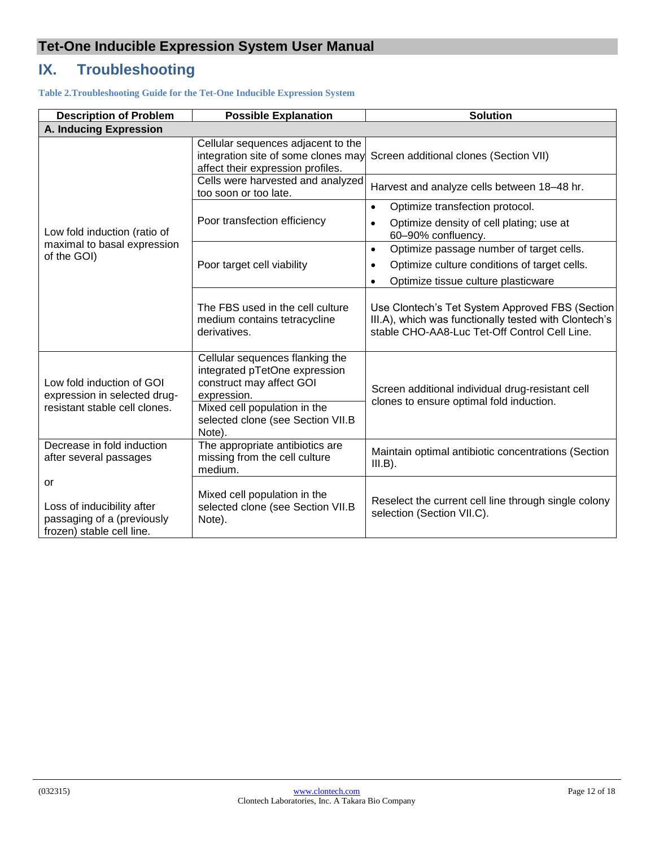# <span id="page-11-0"></span>**IX. Troubleshooting**

<span id="page-11-1"></span>**Table 2.Troubleshooting Guide for the Tet-One Inducible Expression System**

| <b>Description of Problem</b><br><b>Possible Explanation</b>                                |                                                                                                                                                                                            | <b>Solution</b>                                                                                                                                           |
|---------------------------------------------------------------------------------------------|--------------------------------------------------------------------------------------------------------------------------------------------------------------------------------------------|-----------------------------------------------------------------------------------------------------------------------------------------------------------|
| A. Inducing Expression                                                                      |                                                                                                                                                                                            |                                                                                                                                                           |
|                                                                                             | Cellular sequences adjacent to the<br>integration site of some clones may<br>affect their expression profiles.                                                                             | Screen additional clones (Section VII)                                                                                                                    |
|                                                                                             | Cells were harvested and analyzed<br>too soon or too late.                                                                                                                                 | Harvest and analyze cells between 18-48 hr.                                                                                                               |
|                                                                                             | Poor transfection efficiency                                                                                                                                                               | Optimize transfection protocol.<br>$\bullet$                                                                                                              |
| Low fold induction (ratio of                                                                |                                                                                                                                                                                            | Optimize density of cell plating; use at<br>$\bullet$<br>60-90% confluency.                                                                               |
| maximal to basal expression<br>of the GOI)                                                  |                                                                                                                                                                                            | Optimize passage number of target cells.<br>$\bullet$                                                                                                     |
|                                                                                             | Poor target cell viability                                                                                                                                                                 | Optimize culture conditions of target cells.                                                                                                              |
|                                                                                             |                                                                                                                                                                                            | Optimize tissue culture plasticware<br>$\bullet$                                                                                                          |
|                                                                                             | The FBS used in the cell culture<br>medium contains tetracycline<br>derivatives.                                                                                                           | Use Clontech's Tet System Approved FBS (Section<br>III.A), which was functionally tested with Clontech's<br>stable CHO-AA8-Luc Tet-Off Control Cell Line. |
| Low fold induction of GOI<br>expression in selected drug-<br>resistant stable cell clones.  | Cellular sequences flanking the<br>integrated pTetOne expression<br>construct may affect GOI<br>expression.<br>Mixed cell population in the<br>selected clone (see Section VII.B<br>Note). | Screen additional individual drug-resistant cell<br>clones to ensure optimal fold induction.                                                              |
| Decrease in fold induction<br>after several passages                                        | The appropriate antibiotics are<br>missing from the cell culture<br>medium.                                                                                                                | Maintain optimal antibiotic concentrations (Section<br>$III.B$ ).                                                                                         |
| or<br>Loss of inducibility after<br>passaging of a (previously<br>frozen) stable cell line. | Mixed cell population in the<br>selected clone (see Section VII.B<br>Note).                                                                                                                | Reselect the current cell line through single colony<br>selection (Section VII.C).                                                                        |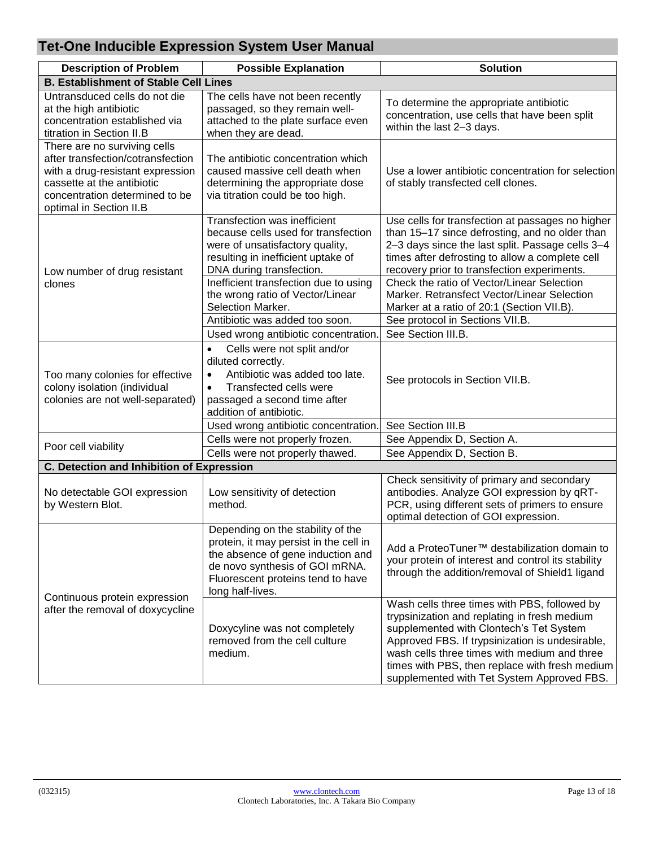| <b>Description of Problem</b>                                                                                                                                                                    | <b>Possible Explanation</b>                                                                                                                                                                                                                                                                                                                          | <b>Solution</b>                                                                                                                                                                                                                                                                                                                                                                                                                                              |
|--------------------------------------------------------------------------------------------------------------------------------------------------------------------------------------------------|------------------------------------------------------------------------------------------------------------------------------------------------------------------------------------------------------------------------------------------------------------------------------------------------------------------------------------------------------|--------------------------------------------------------------------------------------------------------------------------------------------------------------------------------------------------------------------------------------------------------------------------------------------------------------------------------------------------------------------------------------------------------------------------------------------------------------|
| <b>B. Establishment of Stable Cell Lines</b>                                                                                                                                                     |                                                                                                                                                                                                                                                                                                                                                      |                                                                                                                                                                                                                                                                                                                                                                                                                                                              |
| Untransduced cells do not die<br>at the high antibiotic<br>concentration established via<br>titration in Section II.B                                                                            | The cells have not been recently<br>passaged, so they remain well-<br>attached to the plate surface even<br>when they are dead.                                                                                                                                                                                                                      | To determine the appropriate antibiotic<br>concentration, use cells that have been split<br>within the last 2-3 days.                                                                                                                                                                                                                                                                                                                                        |
| There are no surviving cells<br>after transfection/cotransfection<br>with a drug-resistant expression<br>cassette at the antibiotic<br>concentration determined to be<br>optimal in Section II.B | The antibiotic concentration which<br>caused massive cell death when<br>determining the appropriate dose<br>via titration could be too high.                                                                                                                                                                                                         | Use a lower antibiotic concentration for selection<br>of stably transfected cell clones.                                                                                                                                                                                                                                                                                                                                                                     |
| Low number of drug resistant<br>clones                                                                                                                                                           | Transfection was inefficient<br>because cells used for transfection<br>were of unsatisfactory quality,<br>resulting in inefficient uptake of<br>DNA during transfection.<br>Inefficient transfection due to using<br>the wrong ratio of Vector/Linear<br>Selection Marker.<br>Antibiotic was added too soon.<br>Used wrong antibiotic concentration. | Use cells for transfection at passages no higher<br>than 15-17 since defrosting, and no older than<br>2-3 days since the last split. Passage cells 3-4<br>times after defrosting to allow a complete cell<br>recovery prior to transfection experiments.<br>Check the ratio of Vector/Linear Selection<br>Marker. Retransfect Vector/Linear Selection<br>Marker at a ratio of 20:1 (Section VII.B).<br>See protocol in Sections VII.B.<br>See Section III.B. |
| Too many colonies for effective<br>colony isolation (individual<br>colonies are not well-separated)                                                                                              | Cells were not split and/or<br>$\bullet$<br>diluted correctly.<br>Antibiotic was added too late.<br>$\bullet$<br>Transfected cells were<br>$\bullet$<br>passaged a second time after<br>addition of antibiotic.                                                                                                                                      | See protocols in Section VII.B.                                                                                                                                                                                                                                                                                                                                                                                                                              |
|                                                                                                                                                                                                  | Used wrong antibiotic concentration.                                                                                                                                                                                                                                                                                                                 | See Section III.B                                                                                                                                                                                                                                                                                                                                                                                                                                            |
| Poor cell viability                                                                                                                                                                              | Cells were not properly frozen.                                                                                                                                                                                                                                                                                                                      | See Appendix D, Section A.                                                                                                                                                                                                                                                                                                                                                                                                                                   |
|                                                                                                                                                                                                  | Cells were not properly thawed.                                                                                                                                                                                                                                                                                                                      | See Appendix D, Section B.                                                                                                                                                                                                                                                                                                                                                                                                                                   |
| <b>C. Detection and Inhibition of Expression</b>                                                                                                                                                 |                                                                                                                                                                                                                                                                                                                                                      |                                                                                                                                                                                                                                                                                                                                                                                                                                                              |
| No detectable GOI expression<br>by Western Blot.                                                                                                                                                 | Low sensitivity of detection<br>method.                                                                                                                                                                                                                                                                                                              | Check sensitivity of primary and secondary<br>antibodies. Analyze GOI expression by qRT-<br>PCR, using different sets of primers to ensure<br>optimal detection of GOI expression.                                                                                                                                                                                                                                                                           |
| Continuous protein expression                                                                                                                                                                    | Depending on the stability of the<br>protein, it may persist in the cell in<br>the absence of gene induction and<br>de novo synthesis of GOI mRNA.<br>Fluorescent proteins tend to have<br>long half-lives.                                                                                                                                          | Add a ProteoTuner <sup>™</sup> destabilization domain to<br>your protein of interest and control its stability<br>through the addition/removal of Shield1 ligand                                                                                                                                                                                                                                                                                             |
| after the removal of doxycycline                                                                                                                                                                 | Doxycyline was not completely<br>removed from the cell culture<br>medium.                                                                                                                                                                                                                                                                            | Wash cells three times with PBS, followed by<br>trypsinization and replating in fresh medium<br>supplemented with Clontech's Tet System<br>Approved FBS. If trypsinization is undesirable,<br>wash cells three times with medium and three<br>times with PBS, then replace with fresh medium<br>supplemented with Tet System Approved FBS.                                                                                                                   |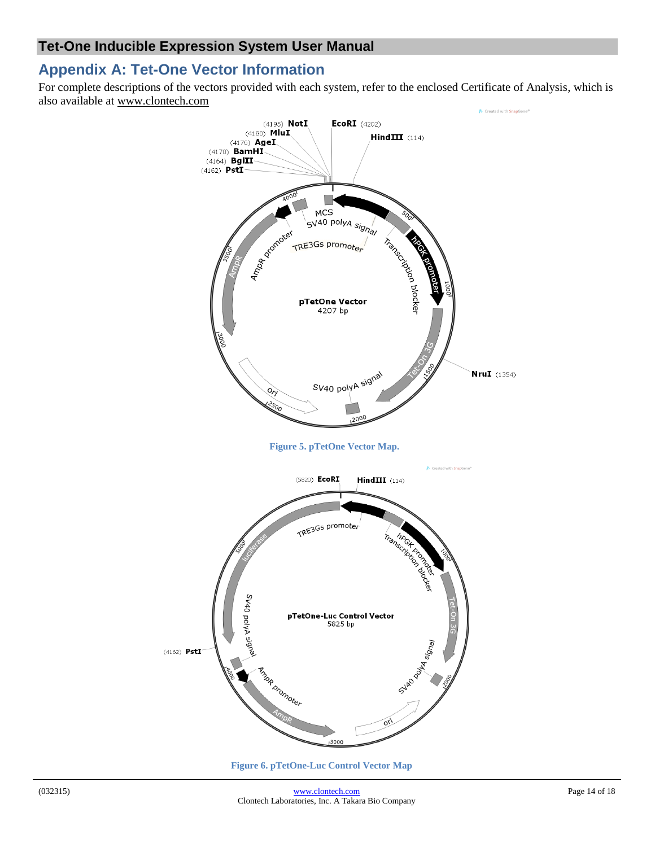# <span id="page-13-0"></span>**Appendix A: Tet-One Vector Information**

For complete descriptions of the vectors provided with each system, refer to the enclosed Certificate of Analysis, which is also available at [www.clontech.com](http://www.clontech.com/)

<span id="page-13-1"></span>

<span id="page-13-2"></span>**Figure 6. pTetOne-Luc Control Vector Map**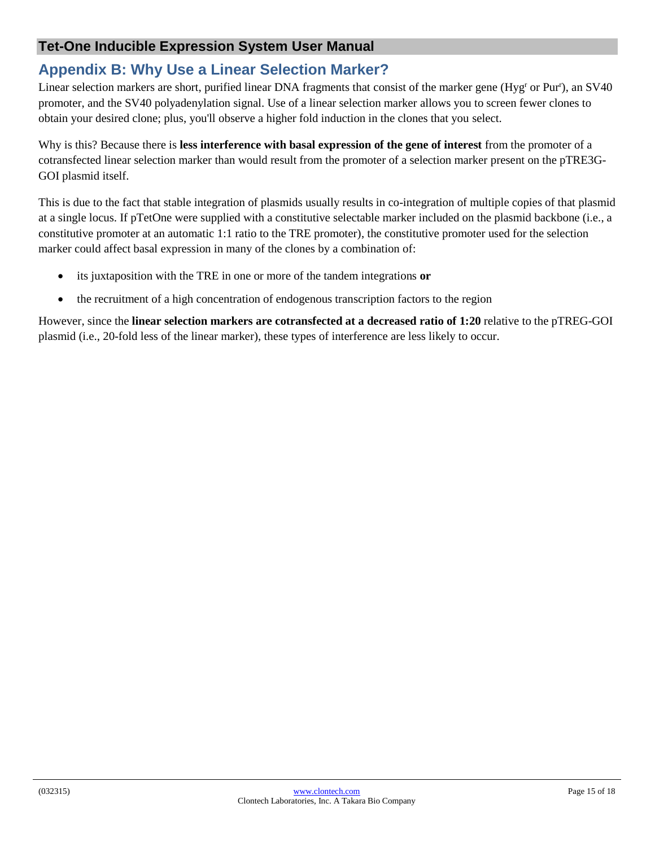# <span id="page-14-0"></span>**Appendix B: Why Use a Linear Selection Marker?**

Linear selection markers are short, purified linear DNA fragments that consist of the marker gene (Hyg<sup>r</sup> or Pur<sup>r</sup>), an SV40 promoter, and the SV40 polyadenylation signal. Use of a linear selection marker allows you to screen fewer clones to obtain your desired clone; plus, you'll observe a higher fold induction in the clones that you select.

Why is this? Because there is **less interference with basal expression of the gene of interest** from the promoter of a cotransfected linear selection marker than would result from the promoter of a selection marker present on the pTRE3G-GOI plasmid itself.

This is due to the fact that stable integration of plasmids usually results in co-integration of multiple copies of that plasmid at a single locus. If pTetOne were supplied with a constitutive selectable marker included on the plasmid backbone (i.e., a constitutive promoter at an automatic 1:1 ratio to the TRE promoter), the constitutive promoter used for the selection marker could affect basal expression in many of the clones by a combination of:

- its juxtaposition with the TRE in one or more of the tandem integrations **or**
- the recruitment of a high concentration of endogenous transcription factors to the region

However, since the **linear selection markers are cotransfected at a decreased ratio of 1:20** relative to the pTREG-GOI plasmid (i.e., 20-fold less of the linear marker), these types of interference are less likely to occur.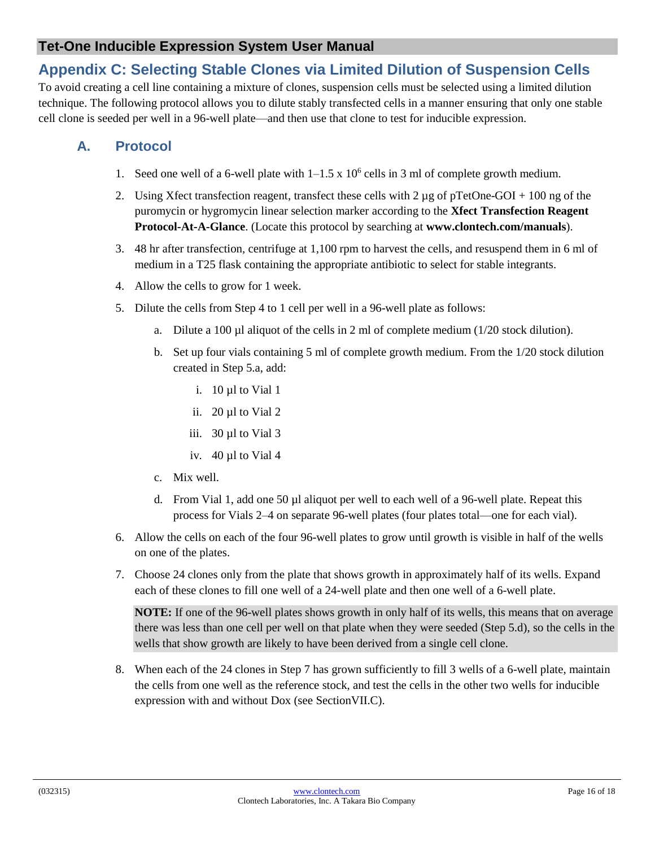# <span id="page-15-0"></span>**Appendix C: Selecting Stable Clones via Limited Dilution of Suspension Cells**

To avoid creating a cell line containing a mixture of clones, suspension cells must be selected using a limited dilution technique. The following protocol allows you to dilute stably transfected cells in a manner ensuring that only one stable cell clone is seeded per well in a 96-well plate—and then use that clone to test for inducible expression.

# **A. Protocol**

- 1. Seed one well of a 6-well plate with  $1-1.5 \times 10^6$  cells in 3 ml of complete growth medium.
- 2. Using Xfect transfection reagent, transfect these cells with 2  $\mu$ g of pTetOne-GOI + 100 ng of the puromycin or hygromycin linear selection marker according to the **Xfect Transfection Reagent Protocol-At-A-Glance**. (Locate this protocol by searching at **www.clontech.com/manuals**).
- 3. 48 hr after transfection, centrifuge at 1,100 rpm to harvest the cells, and resuspend them in 6 ml of medium in a T25 flask containing the appropriate antibiotic to select for stable integrants.
- 4. Allow the cells to grow for 1 week.
- 5. Dilute the cells from Step 4 to 1 cell per well in a 96-well plate as follows:
	- a. Dilute a 100  $\mu$ l aliquot of the cells in 2 ml of complete medium (1/20 stock dilution).
	- b. Set up four vials containing 5 ml of complete growth medium. From the 1/20 stock dilution created in Step 5.a, add:
		- i. 10 µl to Vial 1
		- ii. 20 µl to Vial 2
		- iii. 30 µl to Vial 3
		- iv. 40 µl to Vial 4
	- c. Mix well.
	- d. From Vial 1, add one 50 µl aliquot per well to each well of a 96-well plate. Repeat this process for Vials 2–4 on separate 96-well plates (four plates total—one for each vial).
- 6. Allow the cells on each of the four 96-well plates to grow until growth is visible in half of the wells on one of the plates.
- 7. Choose 24 clones only from the plate that shows growth in approximately half of its wells. Expand each of these clones to fill one well of a 24-well plate and then one well of a 6-well plate.

**NOTE:** If one of the 96-well plates shows growth in only half of its wells, this means that on average there was less than one cell per well on that plate when they were seeded (Step 5.d), so the cells in the wells that show growth are likely to have been derived from a single cell clone.

8. When each of the 24 clones in Step 7 has grown sufficiently to fill 3 wells of a 6-well plate, maintain the cells from one well as the reference stock, and test the cells in the other two wells for inducible expression with and without Dox (see SectionVII.C).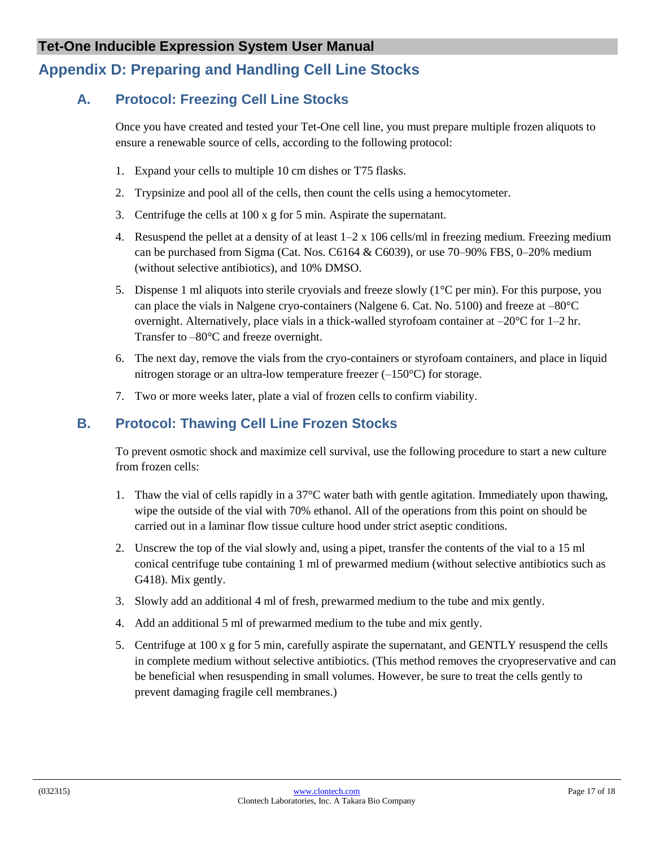# <span id="page-16-0"></span>**Appendix D: Preparing and Handling Cell Line Stocks**

# **A. Protocol: Freezing Cell Line Stocks**

Once you have created and tested your Tet-One cell line, you must prepare multiple frozen aliquots to ensure a renewable source of cells, according to the following protocol:

- 1. Expand your cells to multiple 10 cm dishes or T75 flasks.
- 2. Trypsinize and pool all of the cells, then count the cells using a hemocytometer.
- 3. Centrifuge the cells at 100 x g for 5 min. Aspirate the supernatant.
- 4. Resuspend the pellet at a density of at least  $1-2 \times 106$  cells/ml in freezing medium. Freezing medium can be purchased from Sigma (Cat. Nos. C6164 & C6039), or use 70–90% FBS, 0–20% medium (without selective antibiotics), and 10% DMSO.
- 5. Dispense 1 ml aliquots into sterile cryovials and freeze slowly ( $1^{\circ}$ C per min). For this purpose, you can place the vials in Nalgene cryo-containers (Nalgene 6. Cat. No. 5100) and freeze at –80°C overnight. Alternatively, place vials in a thick-walled styrofoam container at  $-20^{\circ}$ C for 1–2 hr. Transfer to –80°C and freeze overnight.
- 6. The next day, remove the vials from the cryo-containers or styrofoam containers, and place in liquid nitrogen storage or an ultra-low temperature freezer  $(-150^{\circ}C)$  for storage.
- 7. Two or more weeks later, plate a vial of frozen cells to confirm viability.

# **B. Protocol: Thawing Cell Line Frozen Stocks**

To prevent osmotic shock and maximize cell survival, use the following procedure to start a new culture from frozen cells:

- 1. Thaw the vial of cells rapidly in a 37°C water bath with gentle agitation. Immediately upon thawing, wipe the outside of the vial with 70% ethanol. All of the operations from this point on should be carried out in a laminar flow tissue culture hood under strict aseptic conditions.
- 2. Unscrew the top of the vial slowly and, using a pipet, transfer the contents of the vial to a 15 ml conical centrifuge tube containing 1 ml of prewarmed medium (without selective antibiotics such as G418). Mix gently.
- 3. Slowly add an additional 4 ml of fresh, prewarmed medium to the tube and mix gently.
- 4. Add an additional 5 ml of prewarmed medium to the tube and mix gently.
- 5. Centrifuge at 100 x g for 5 min, carefully aspirate the supernatant, and GENTLY resuspend the cells in complete medium without selective antibiotics. (This method removes the cryopreservative and can be beneficial when resuspending in small volumes. However, be sure to treat the cells gently to prevent damaging fragile cell membranes.)